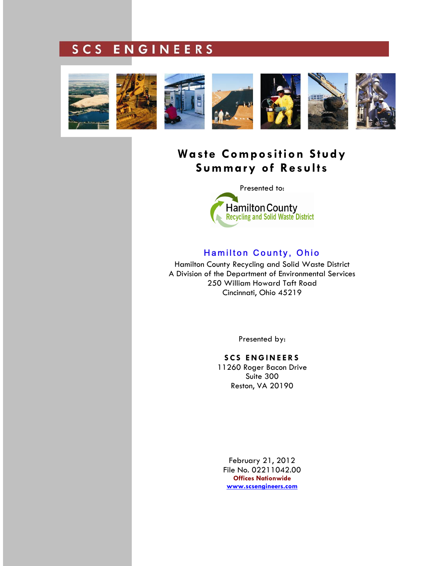# **SCS ENGINEERS**



## **Waste Composition Study Summary of Results**



## Hamilton County, Ohio

Hamilton County Recycling and Solid Waste District A Division of the Department of Environmental Services 250 William Howard Taft Road Cincinnati, Ohio 45219

Presented by:

#### **SCS ENGINEERS**

11260 Roger Bacon Drive Suite 300 Reston, VA 20190

February 21, 2012 File No. 02211042.00 **Offices Nationwide www.scsengineers.com**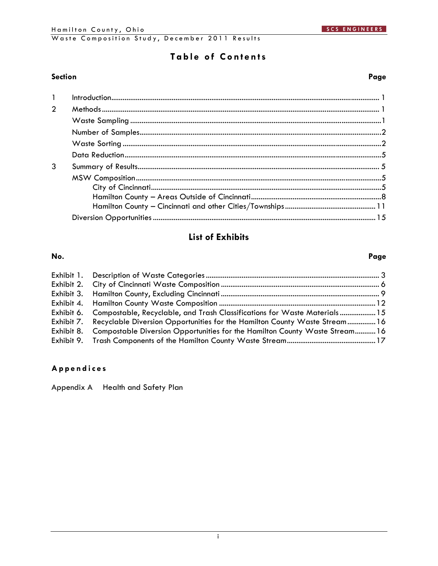## **Table of Contents**

#### **Section Page**

| $\mathbf{1}$   |  |
|----------------|--|
| $\overline{2}$ |  |
|                |  |
|                |  |
|                |  |
|                |  |
| 3              |  |
|                |  |
|                |  |
|                |  |
|                |  |
|                |  |

## **List of Exhibits**

#### **No. Page**

| Exhibit 6. Compostable, Recyclable, and Trash Classifications for Waste Materials  15 |  |
|---------------------------------------------------------------------------------------|--|
| Exhibit 7. Recyclable Diversion Opportunities for the Hamilton County Waste Stream16  |  |
| Exhibit 8. Compostable Diversion Opportunities for the Hamilton County Waste Stream16 |  |
|                                                                                       |  |

#### **Appendices**

Appendix A Health and Safety Plan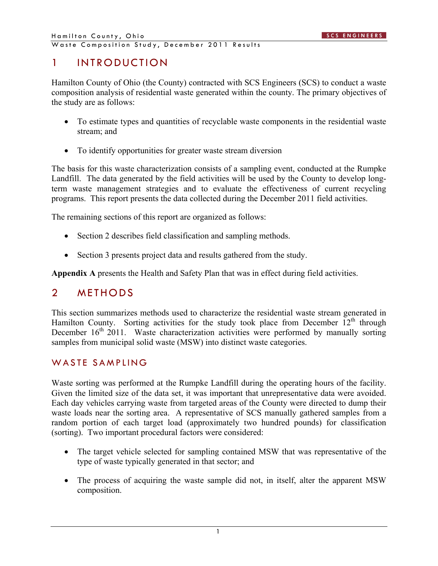## 1 INTRODUCTION

Hamilton County of Ohio (the County) contracted with SCS Engineers (SCS) to conduct a waste composition analysis of residential waste generated within the county. The primary objectives of the study are as follows:

- To estimate types and quantities of recyclable waste components in the residential waste stream; and
- To identify opportunities for greater waste stream diversion

The basis for this waste characterization consists of a sampling event, conducted at the Rumpke Landfill. The data generated by the field activities will be used by the County to develop longterm waste management strategies and to evaluate the effectiveness of current recycling programs. This report presents the data collected during the December 2011 field activities.

The remaining sections of this report are organized as follows:

- Section 2 describes field classification and sampling methods.
- Section 3 presents project data and results gathered from the study.

**Appendix A** presents the Health and Safety Plan that was in effect during field activities.

## 2 METHODS

This section summarizes methods used to characterize the residential waste stream generated in Hamilton County. Sorting activities for the study took place from December  $12<sup>th</sup>$  through December  $16<sup>th</sup>$  2011. Waste characterization activities were performed by manually sorting samples from municipal solid waste (MSW) into distinct waste categories.

## WASTE SAMPLING

Waste sorting was performed at the Rumpke Landfill during the operating hours of the facility. Given the limited size of the data set, it was important that unrepresentative data were avoided. Each day vehicles carrying waste from targeted areas of the County were directed to dump their waste loads near the sorting area. A representative of SCS manually gathered samples from a random portion of each target load (approximately two hundred pounds) for classification (sorting). Two important procedural factors were considered:

- The target vehicle selected for sampling contained MSW that was representative of the type of waste typically generated in that sector; and
- The process of acquiring the waste sample did not, in itself, alter the apparent MSW composition.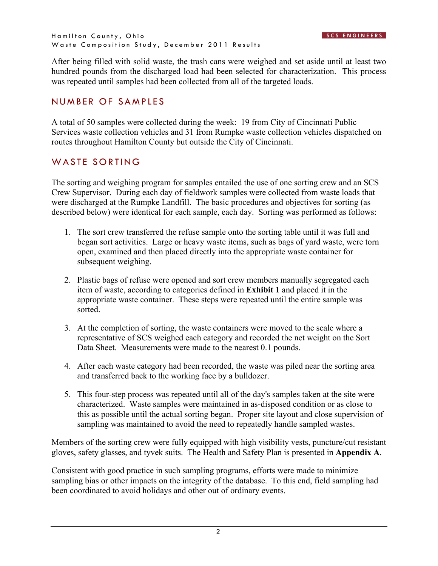After being filled with solid waste, the trash cans were weighed and set aside until at least two hundred pounds from the discharged load had been selected for characterization. This process was repeated until samples had been collected from all of the targeted loads.

## NUMBER OF SAMPLES

A total of 50 samples were collected during the week: 19 from City of Cincinnati Public Services waste collection vehicles and 31 from Rumpke waste collection vehicles dispatched on routes throughout Hamilton County but outside the City of Cincinnati.

## WASTE SORTING

The sorting and weighing program for samples entailed the use of one sorting crew and an SCS Crew Supervisor. During each day of fieldwork samples were collected from waste loads that were discharged at the Rumpke Landfill. The basic procedures and objectives for sorting (as described below) were identical for each sample, each day. Sorting was performed as follows:

- 1. The sort crew transferred the refuse sample onto the sorting table until it was full and began sort activities. Large or heavy waste items, such as bags of yard waste, were torn open, examined and then placed directly into the appropriate waste container for subsequent weighing.
- 2. Plastic bags of refuse were opened and sort crew members manually segregated each item of waste, according to categories defined in **Exhibit 1** and placed it in the appropriate waste container. These steps were repeated until the entire sample was sorted.
- 3. At the completion of sorting, the waste containers were moved to the scale where a representative of SCS weighed each category and recorded the net weight on the Sort Data Sheet. Measurements were made to the nearest 0.1 pounds.
- 4. After each waste category had been recorded, the waste was piled near the sorting area and transferred back to the working face by a bulldozer.
- 5. This four-step process was repeated until all of the day's samples taken at the site were characterized. Waste samples were maintained in as-disposed condition or as close to this as possible until the actual sorting began. Proper site layout and close supervision of sampling was maintained to avoid the need to repeatedly handle sampled wastes.

Members of the sorting crew were fully equipped with high visibility vests, puncture/cut resistant gloves, safety glasses, and tyvek suits. The Health and Safety Plan is presented in **Appendix A**.

Consistent with good practice in such sampling programs, efforts were made to minimize sampling bias or other impacts on the integrity of the database. To this end, field sampling had been coordinated to avoid holidays and other out of ordinary events.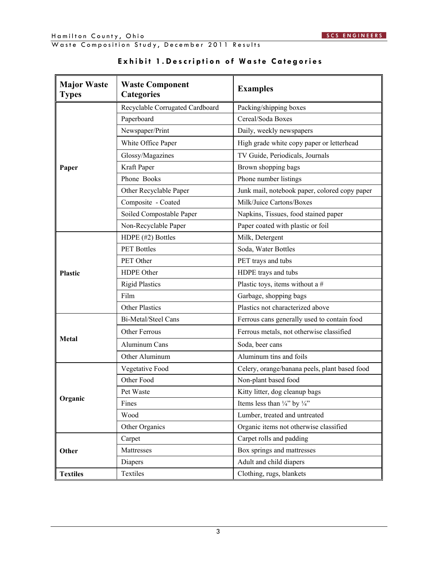|  |  |  | Waste Composition Study, December 2011 Results |  |  |
|--|--|--|------------------------------------------------|--|--|
|--|--|--|------------------------------------------------|--|--|

| <b>Major Waste</b><br><b>Waste Component</b><br><b>Categories</b><br><b>Types</b> |                                 | <b>Examples</b>                                    |
|-----------------------------------------------------------------------------------|---------------------------------|----------------------------------------------------|
|                                                                                   | Recyclable Corrugated Cardboard | Packing/shipping boxes                             |
|                                                                                   | Paperboard                      | Cereal/Soda Boxes                                  |
|                                                                                   | Newspaper/Print                 | Daily, weekly newspapers                           |
|                                                                                   | White Office Paper              | High grade white copy paper or letterhead          |
|                                                                                   | Glossy/Magazines                | TV Guide, Periodicals, Journals                    |
| Paper                                                                             | Kraft Paper                     | Brown shopping bags                                |
|                                                                                   | Phone Books                     | Phone number listings                              |
|                                                                                   | Other Recyclable Paper          | Junk mail, notebook paper, colored copy paper      |
|                                                                                   | Composite - Coated              | Milk/Juice Cartons/Boxes                           |
|                                                                                   | Soiled Compostable Paper        | Napkins, Tissues, food stained paper               |
|                                                                                   | Non-Recyclable Paper            | Paper coated with plastic or foil                  |
|                                                                                   | HDPE (#2) Bottles               | Milk, Detergent                                    |
|                                                                                   | <b>PET Bottles</b>              | Soda, Water Bottles                                |
|                                                                                   | PET Other                       | PET trays and tubs                                 |
| <b>Plastic</b>                                                                    | HDPE Other                      | HDPE trays and tubs                                |
|                                                                                   | <b>Rigid Plastics</b>           | Plastic toys, items without a #                    |
|                                                                                   | Film                            | Garbage, shopping bags                             |
|                                                                                   | <b>Other Plastics</b>           | Plastics not characterized above                   |
|                                                                                   | Bi-Metal/Steel Cans             | Ferrous cans generally used to contain food        |
|                                                                                   | Other Ferrous                   | Ferrous metals, not otherwise classified           |
| <b>Metal</b>                                                                      | Aluminum Cans                   | Soda, beer cans                                    |
|                                                                                   | Other Aluminum                  | Aluminum tins and foils                            |
|                                                                                   | Vegetative Food                 | Celery, orange/banana peels, plant based food      |
|                                                                                   | Other Food                      | Non-plant based food                               |
|                                                                                   | Pet Waste                       | Kitty litter, dog cleanup bags                     |
| Organic                                                                           | Fines                           | Items less than $\frac{1}{4}$ " by $\frac{1}{4}$ " |
|                                                                                   | Wood                            | Lumber, treated and untreated                      |
|                                                                                   | Other Organics                  | Organic items not otherwise classified             |
|                                                                                   | Carpet                          | Carpet rolls and padding                           |
| Other                                                                             | Mattresses                      | Box springs and mattresses                         |
|                                                                                   | Diapers                         | Adult and child diapers                            |
| <b>Textiles</b>                                                                   | Textiles                        | Clothing, rugs, blankets                           |

## **Exhibit 1. Description of Waste Categories**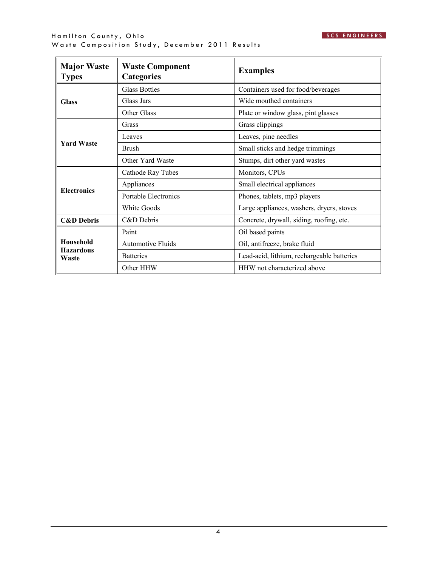| <b>Major Waste</b><br><b>Types</b> | <b>Waste Component</b><br><b>Categories</b> | <b>Examples</b>                            |  |
|------------------------------------|---------------------------------------------|--------------------------------------------|--|
|                                    | <b>Glass Bottles</b>                        | Containers used for food/beverages         |  |
| <b>Glass</b>                       | Glass Jars                                  | Wide mouthed containers                    |  |
|                                    | Other Glass                                 | Plate or window glass, pint glasses        |  |
|                                    | Grass                                       | Grass clippings                            |  |
|                                    | Leaves                                      | Leaves, pine needles                       |  |
| <b>Yard Waste</b>                  | <b>Brush</b>                                | Small sticks and hedge trimmings           |  |
|                                    | Other Yard Waste                            | Stumps, dirt other yard wastes             |  |
|                                    | Cathode Ray Tubes                           | Monitors, CPUs                             |  |
|                                    | Appliances                                  | Small electrical appliances                |  |
| <b>Electronics</b>                 | Portable Electronics                        | Phones, tablets, mp3 players               |  |
|                                    | White Goods                                 | Large appliances, washers, dryers, stoves  |  |
| <b>C&amp;D</b> Debris              | C&D Debris                                  | Concrete, drywall, siding, roofing, etc.   |  |
|                                    | Paint                                       | Oil based paints                           |  |
| <b>Household</b>                   | <b>Automotive Fluids</b>                    | Oil, antifreeze, brake fluid               |  |
| <b>Hazardous</b><br>Waste          | <b>Batteries</b>                            | Lead-acid, lithium, rechargeable batteries |  |
|                                    | Other HHW                                   | HHW not characterized above                |  |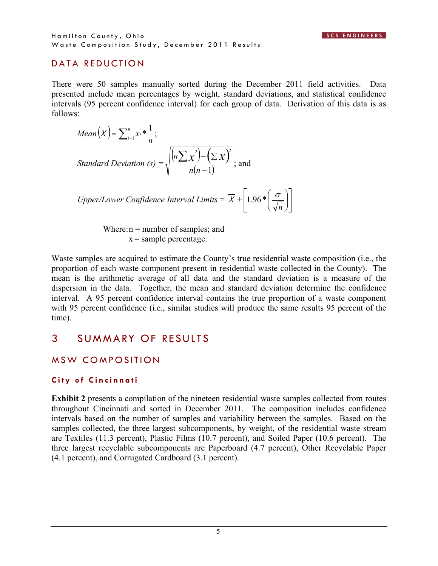#### DATA REDUCTION

There were 50 samples manually sorted during the December 2011 field activities. Data presented include mean percentages by weight, standard deviations, and statistical confidence intervals (95 percent confidence interval) for each group of data. Derivation of this data is as follows:

Mean 
$$
(\overline{X}) = \sum_{i=1}^{n} x_i * \frac{1}{n}
$$
;  
\nStandard Deviation (s) =  $\sqrt{\frac{(n \sum x^2) - (\sum x)^2}{n(n-1)}}$ ; and

Upper/Lower Confidence Interval Limits = 
$$
\overline{X} \pm \left[ 1.96 * \left( \frac{\sigma}{\sqrt{n}} \right) \right]
$$

Where:  $n =$  number of samples; and  $x =$ sample percentage.

Waste samples are acquired to estimate the County's true residential waste composition (i.e., the proportion of each waste component present in residential waste collected in the County). The mean is the arithmetic average of all data and the standard deviation is a measure of the dispersion in the data. Together, the mean and standard deviation determine the confidence interval. A 95 percent confidence interval contains the true proportion of a waste component with 95 percent confidence (i.e., similar studies will produce the same results 95 percent of the time).

## 3 SUMMARY OF RESULTS

## MSW COMPOSITION

#### **City of Cincinnati**

**Exhibit 2** presents a compilation of the nineteen residential waste samples collected from routes throughout Cincinnati and sorted in December 2011. The composition includes confidence intervals based on the number of samples and variability between the samples. Based on the samples collected, the three largest subcomponents, by weight, of the residential waste stream are Textiles (11.3 percent), Plastic Films (10.7 percent), and Soiled Paper (10.6 percent). The three largest recyclable subcomponents are Paperboard (4.7 percent), Other Recyclable Paper (4.1 percent), and Corrugated Cardboard (3.1 percent).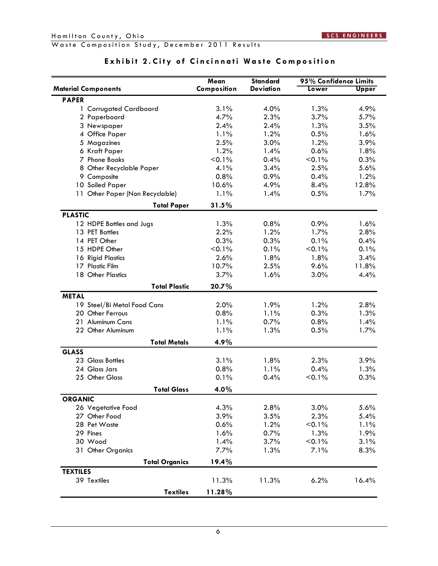**TEXTILES**

|                                 | Mean         | <b>Standard</b>  | 95% Confidence Limits |              |
|---------------------------------|--------------|------------------|-----------------------|--------------|
| <b>Material Components</b>      | Composition  | <b>Deviation</b> | Lower                 | Upper        |
| <b>PAPER</b>                    |              |                  |                       |              |
| 1 Corrugated Cardboard          | 3.1%         | 4.0%             | 1.3%                  | 4.9%         |
| 2 Paperboard                    | 4.7%         | 2.3%             | 3.7%                  | 5.7%         |
| 3 Newspaper                     | 2.4%         | 2.4%             | 1.3%                  | 3.5%         |
| 4 Office Paper                  | 1.1%         | 1.2%             | 0.5%                  | 1.6%         |
| 5 Magazines                     | 2.5%         | 3.0%             | 1.2%                  | 3.9%         |
| 6 Kraft Paper                   | 1.2%         | 1.4%             | 0.6%                  | 1.8%         |
| 7 Phone Books                   | $< 0.1\%$    | 0.4%             | $< 0.1\%$             | 0.3%         |
| 8 Other Recyclable Paper        | 4.1%         | 3.4%             | 2.5%                  | 5.6%         |
| 9 Composite                     | 0.8%         | 0.9%             | 0.4%                  | 1.2%         |
| 10 Soiled Paper                 | 10.6%        | 4.9%             | 8.4%                  | 12.8%        |
| 11 Other Paper (Non Recyclable) | 1.1%         | 1.4%             | 0.5%                  | 1.7%         |
| <b>Total Paper</b>              | 31.5%        |                  |                       |              |
| <b>PLASTIC</b>                  |              |                  |                       |              |
| 12 HDPE Bottles and Jugs        | 1.3%         | 0.8%             | 0.9%                  | 1.6%         |
| 13 PET Bottles                  | 2.2%         | 1.2%             | 1.7%                  | 2.8%         |
| 14 PET Other                    | 0.3%         | 0.3%             | 0.1%                  | 0.4%         |
| 15 HDPE Other                   | $< 0.1\%$    | 0.1%             | $< 0.1\%$             | 0.1%         |
| 16 Rigid Plastics               | 2.6%         | 1.8%             | 1.8%                  | 3.4%         |
| 17 Plastic Film                 | 10.7%        | 2.5%             | 9.6%                  | 11.8%        |
| 18 Other Plastics               | 3.7%         | 1.6%             | 3.0%                  | 4.4%         |
| <b>Total Plastic</b>            | 20.7%        |                  |                       |              |
| <b>METAL</b>                    |              |                  |                       |              |
| 19 Steel/Bi Metal Food Cans     | 2.0%         | 1.9%             | 1.2%                  | 2.8%         |
| 20 Other Ferrous                | 0.8%         | 1.1%             | 0.3%                  | 1.3%         |
| 21 Aluminum Cans                | 1.1%         | 0.7%             | 0.8%                  | 1.4%         |
| 22 Other Aluminum               | 1.1%         | 1.3%             | 0.5%                  | 1.7%         |
| <b>Total Metals</b>             | 4.9%         |                  |                       |              |
| <b>GLASS</b>                    |              |                  |                       |              |
| 23 Glass Bottles                | 3.1%         | 1.8%             | 2.3%                  | 3.9%         |
| 24 Glass Jars                   | 0.8%         | 1.1%             | 0.4%                  | 1.3%         |
| 25 Other Glass                  | 0.1%         | 0.4%             | $< 0.1\%$             | 0.3%         |
| <b>Total Glass</b>              | 4.0%         |                  |                       |              |
| <b>ORGANIC</b>                  |              |                  |                       |              |
| 26 Vegetative Food              | 4.3%         | 2.8%             | 3.0%                  | 5.6%         |
| 27 Other Food                   | 3.9%         | 3.5%             | 2.3%                  | 5.4%         |
| 28 Pet Waste                    | 0.6%         | 1.2%             | $< 0.1\%$<br>1.3%     | 1.1%<br>1.9% |
| 29 Fines<br>30 Wood             | 1.6%         | 0.7%             | $< 0.1\%$             |              |
| 31 Other Organics               | 1.4%<br>7.7% | 3.7%<br>1.3%     | 7.1%                  | 3.1%<br>8.3% |
|                                 | 19.4%        |                  |                       |              |
| <b>Total Organics</b>           |              |                  |                       |              |

### **Exhibit 2. City of Cincinnati Waste Composition**

**Textiles 11.28%**

R 39 Textiles 11.3% 11.3% 6.2% 16.4%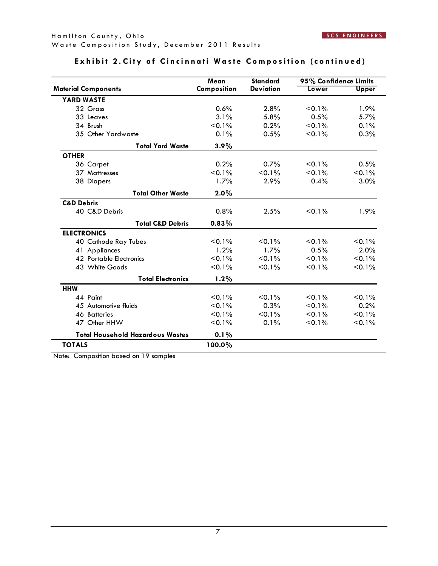# Waste Composition Study, December 2011 Results

|                                         | Mean        | <b>Standard</b>  | 95% Confidence Limits |              |
|-----------------------------------------|-------------|------------------|-----------------------|--------------|
| <b>Material Components</b>              | Composition | <b>Deviation</b> | Lower                 | <b>Upper</b> |
| YARD WASTE                              |             |                  |                       |              |
| 32 Grass                                | 0.6%        | 2.8%             | $< 0.1\%$             | 1.9%         |
| 33 Leaves                               | 3.1%        | 5.8%             | 0.5%                  | 5.7%         |
| 34 Brush                                | $< 0.1\%$   | 0.2%             | $< 0.1\%$             | 0.1%         |
| 35 Other Yardwaste                      | 0.1%        | 0.5%             | $< 0.1\%$             | 0.3%         |
| <b>Total Yard Waste</b>                 | $3.9\%$     |                  |                       |              |
| <b>OTHER</b>                            |             |                  |                       |              |
| 36 Carpet                               | 0.2%        | 0.7%             | $< 0.1\%$             | 0.5%         |
| 37 Mattresses                           | $< 0.1\%$   | $< 0.1\%$        | $< 0.1\%$             | $< 0.1\%$    |
| 38 Diapers                              | 1.7%        | 2.9%             | 0.4%                  | 3.0%         |
| <b>Total Other Waste</b>                | 2.0%        |                  |                       |              |
| <b>C&amp;D Debris</b>                   |             |                  |                       |              |
| 40 C&D Debris                           | 0.8%        | 2.5%             | $< 0.1\%$             | 1.9%         |
| <b>Total C&amp;D Debris</b>             | 0.83%       |                  |                       |              |
| <b>ELECTRONICS</b>                      |             |                  |                       |              |
| 40 Cathode Ray Tubes                    | $< 0.1\%$   | $< 0.1\%$        | $< 0.1\%$             | $< 0.1\%$    |
| 41 Appliances                           | 1.2%        | 1.7%             | 0.5%                  | 2.0%         |
| 42 Portable Electronics                 | $< 0.1\%$   | $< 0.1\%$        | $< 0.1\%$             | $< 0.1\%$    |
| 43 White Goods                          | $< 0.1\%$   | $< 0.1\%$        | $< 0.1\%$             | $< 0.1\%$    |
| <b>Total Electronics</b>                | 1.2%        |                  |                       |              |
| <b>HHW</b>                              |             |                  |                       |              |
| 44 Paint                                | $< 0.1\%$   | $< 0.1\%$        | $< 0.1\%$             | $< 0.1\%$    |
| 45 Automotive fluids                    | $< 0.1\%$   | 0.3%             | $< 0.1\%$             | 0.2%         |
| <b>46 Batteries</b>                     | $< 0.1\%$   | $< 0.1\%$        | $< 0.1\%$             | $< 0.1\%$    |
| 47 Other HHW                            | $< 0.1\%$   | 0.1%             | $< 0.1\%$             | $< 0.1\%$    |
| <b>Total Household Hazardous Wastes</b> | $0.1\%$     |                  |                       |              |
| <b>TOTALS</b>                           | 100.0%      |                  |                       |              |

#### **Exhibit 2. City of Cincinnati Waste Composition (continued)**

Note: Composition based on 19 samples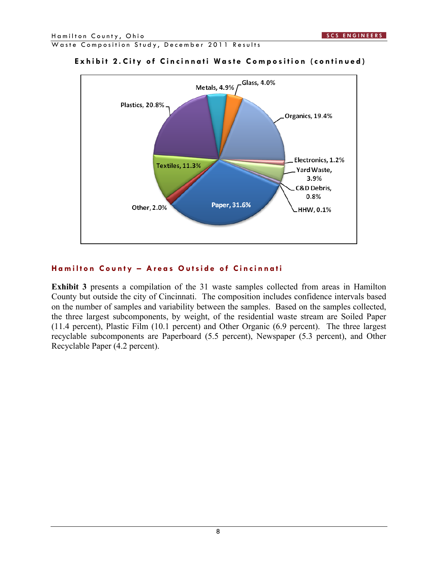



#### **Exhibit 2. City of Cincinnati Waste Composition (continued)**

#### **Hamilton County – Areas Outside of Cincinnati**

**Exhibit 3** presents a compilation of the 31 waste samples collected from areas in Hamilton County but outside the city of Cincinnati. The composition includes confidence intervals based on the number of samples and variability between the samples. Based on the samples collected, the three largest subcomponents, by weight, of the residential waste stream are Soiled Paper (11.4 percent), Plastic Film (10.1 percent) and Other Organic (6.9 percent). The three largest recyclable subcomponents are Paperboard (5.5 percent), Newspaper (5.3 percent), and Other Recyclable Paper (4.2 percent).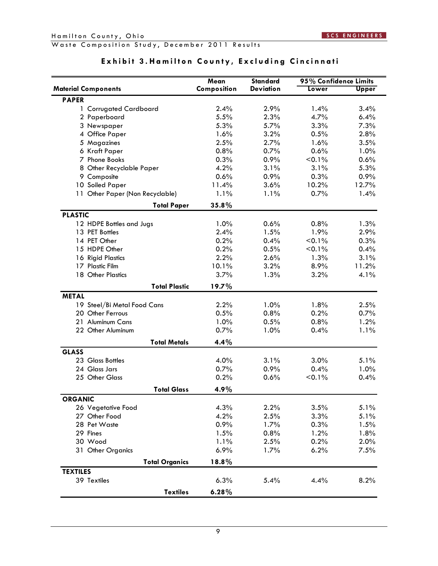| Waste Composition Study, December 2011 Results |  |  |  |  |  |
|------------------------------------------------|--|--|--|--|--|
|------------------------------------------------|--|--|--|--|--|

|                                 | Mean                     | <b>Standard</b>  | 95% Confidence Limits |              |
|---------------------------------|--------------------------|------------------|-----------------------|--------------|
| <b>Material Components</b>      | Composition              | <b>Deviation</b> | Lower                 | <b>Upper</b> |
| <b>PAPER</b>                    |                          |                  |                       |              |
| 1 Corrugated Cardboard          | 2.4%                     | 2.9%             | 1.4%                  | 3.4%         |
| 2 Paperboard                    | 5.5%                     | 2.3%             | 4.7%                  | 6.4%         |
| 3 Newspaper                     | 5.3%                     | 5.7%             | 3.3%                  | 7.3%         |
| 4 Office Paper                  | 1.6%                     | 3.2%             | 0.5%                  | 2.8%         |
| 5 Magazines                     | 2.5%                     | 2.7%             | 1.6%                  | 3.5%         |
| 6 Kraft Paper                   | 0.8%                     | 0.7%             | 0.6%                  | 1.0%         |
| 7 Phone Books                   | 0.3%                     | 0.9%             | $< 0.1\%$             | 0.6%         |
| 8 Other Recyclable Paper        | 4.2%                     | 3.1%             | 3.1%                  | 5.3%         |
| 9 Composite                     | 0.6%                     | 0.9%             | 0.3%                  | 0.9%         |
| 10 Soiled Paper                 | 11.4%                    | 3.6%             | 10.2%                 | 12.7%        |
| 11 Other Paper (Non Recyclable) | 1.1%                     | 1.1%             | 0.7%                  | 1.4%         |
| <b>Total Paper</b>              | 35.8%                    |                  |                       |              |
| <b>PLASTIC</b>                  |                          |                  |                       |              |
| 12 HDPE Bottles and Jugs        | 1.0%                     | 0.6%             | 0.8%                  | 1.3%         |
| 13 PET Bottles                  | 2.4%                     | 1.5%             | 1.9%                  | 2.9%         |
| 14 PET Other                    | 0.2%                     | 0.4%             | $< 0.1\%$             | 0.3%         |
| 15 HDPE Other                   | 0.2%                     | 0.5%             | $< 0.1\%$             | 0.4%         |
| 16 Rigid Plastics               | 2.2%                     | 2.6%             | 1.3%                  | 3.1%         |
| 17 Plastic Film                 | 10.1%                    | 3.2%             | 8.9%                  | 11.2%        |
| 18 Other Plastics               | 3.7%                     | 1.3%             | 3.2%                  | 4.1%         |
| <b>Total Plastic</b>            | 19.7%                    |                  |                       |              |
| <b>METAL</b>                    |                          |                  |                       |              |
| 19 Steel/Bi Metal Food Cans     | 2.2%                     | 1.0%             | 1.8%                  | 2.5%         |
| 20 Other Ferrous                | 0.5%                     | 0.8%             | 0.2%                  | 0.7%         |
| 21 Aluminum Cans                | 1.0%                     | 0.5%             | 0.8%                  | 1.2%         |
| 22 Other Aluminum               | 0.7%                     | 1.0%             | 0.4%                  | 1.1%         |
| <b>Total Metals</b>             | 4.4%                     |                  |                       |              |
| <b>GLASS</b>                    |                          |                  |                       |              |
| 23 Glass Bottles                | 4.0%                     | 3.1%             | 3.0%                  | 5.1%         |
| 24 Glass Jars                   | 0.7%                     | 0.9%             | 0.4%                  | 1.0%         |
| 25 Other Glass                  | 0.2%                     | 0.6%             | $< 0.1\%$             | 0.4%         |
| <b>Total Glass</b>              | 4.9%                     |                  |                       |              |
| <b>ORGANIC</b>                  |                          |                  |                       |              |
| 26 Vegetative Food              | 4.3%                     | 2.2%             | 3.5%                  | 5.1%         |
| 27 Other Food                   | 4.2%                     | 2.5%             | 3.3%                  | 5.1%         |
| 28 Pet Waste                    | 0.9%                     | 1.7%             | 0.3%                  | 1.5%         |
| 29 Fines                        | 1.5%                     | 0.8%             | 1.2%                  | 1.8%         |
| 30 Wood                         | 1.1%                     | 2.5%             | 0.2%                  | 2.0%         |
| 31 Other Organics               | 6.9%                     | 1.7%             | 6.2%                  | 7.5%         |
| <b>Total Organics</b>           | 18.8%                    |                  |                       |              |
| <b>TEXTILES</b>                 |                          |                  |                       |              |
| 39 Textiles                     | 6.3%                     | 5.4%             | 4.4%                  | 8.2%         |
|                                 | <b>Textiles</b><br>6.28% |                  |                       |              |

## **Exhibit 3. Hamilton County, Ex cluding Cincinnati**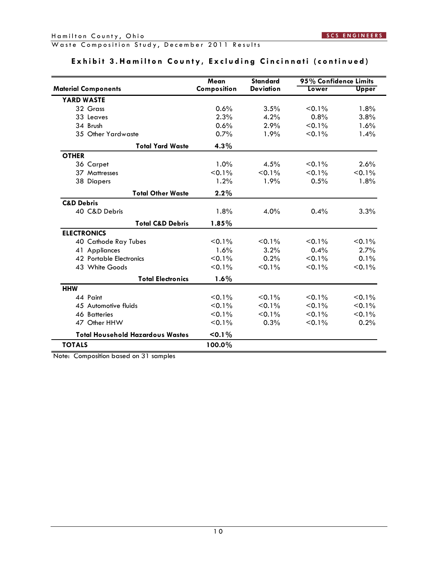## Waste Composition Study, December 2011 Results

#### **Exhibit 3. Hamilton County, Excluding Cincinnati (continued)**

|                                         | Mean        | <b>Standard</b>  | 95% Confidence Limits |              |
|-----------------------------------------|-------------|------------------|-----------------------|--------------|
| <b>Material Components</b>              | Composition | <b>Deviation</b> | Lower                 | <b>Upper</b> |
| YARD WASTE                              |             |                  |                       |              |
| 32 Grass                                | 0.6%        | 3.5%             | $< 0.1\%$             | 1.8%         |
| 33 Leaves                               | 2.3%        | 4.2%             | 0.8%                  | 3.8%         |
| 34 Brush                                | 0.6%        | 2.9%             | $< 0.1\%$             | 1.6%         |
| 35 Other Yardwaste                      | 0.7%        | 1.9%             | $< 0.1\%$             | 1.4%         |
| <b>Total Yard Waste</b>                 | 4.3%        |                  |                       |              |
| <b>OTHER</b>                            |             |                  |                       |              |
| 36 Carpet                               | 1.0%        | 4.5%             | $< 0.1\%$             | 2.6%         |
| 37 Mattresses                           | $< 0.1\%$   | $< 0.1\%$        | $< 0.1\%$             | $< 0.1\%$    |
| 38 Diapers                              | 1.2%        | 1.9%             | 0.5%                  | 1.8%         |
| <b>Total Other Waste</b>                | 2.2%        |                  |                       |              |
| <b>C&amp;D Debris</b>                   |             |                  |                       |              |
| 40 C&D Debris                           | 1.8%        | 4.0%             | 0.4%                  | 3.3%         |
| <b>Total C&amp;D Debris</b>             | 1.85%       |                  |                       |              |
| <b>ELECTRONICS</b>                      |             |                  |                       |              |
| 40 Cathode Ray Tubes                    | $< 0.1\%$   | $< 0.1\%$        | $< 0.1\%$             | $< 0.1\%$    |
| 41 Appliances                           | 1.6%        | 3.2%             | 0.4%                  | 2.7%         |
| 42 Portable Electronics                 | $< 0.1\%$   | 0.2%             | $< 0.1\%$             | 0.1%         |
| 43 White Goods                          | $< 0.1\%$   | $< 0.1\%$        | $< 0.1\%$             | $< 0.1\%$    |
| <b>Total Electronics</b>                | 1.6%        |                  |                       |              |
| <b>HHW</b>                              |             |                  |                       |              |
| 44 Paint                                | $< 0.1\%$   | $< 0.1\%$        | $< 0.1\%$             | $< 0.1\%$    |
| 45 Automotive fluids                    | $< 0.1\%$   | $< 0.1\%$        | $< 0.1\%$             | $< 0.1\%$    |
| 46 Batteries                            | $< 0.1\%$   | $< 0.1\%$        | $< 0.1\%$             | $< 0.1\%$    |
| 47 Other HHW                            | $< 0.1\%$   | 0.3%             | $< 0.1\%$             | 0.2%         |
| <b>Total Household Hazardous Wastes</b> | $<$ 0.1 $%$ |                  |                       |              |
| <b>TOTALS</b>                           | 100.0%      |                  |                       |              |

Note: Composition based on 31 samples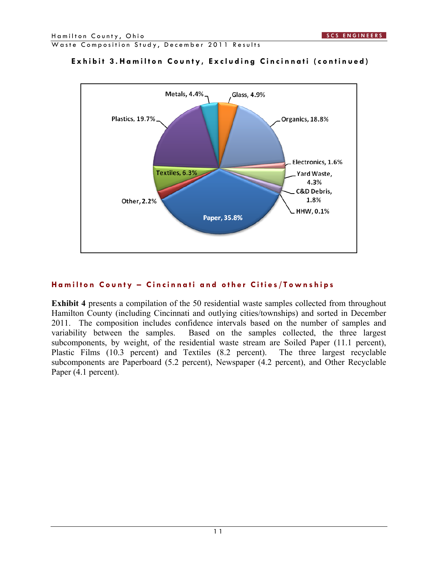Waste Composition Study, December 2011 Results



#### **Exhibit 3. Hamilton County, Excluding Cincinnati (continued)**

#### **Hamilton County - Cincinnati and other Cities/Townships**

**Exhibit 4** presents a compilation of the 50 residential waste samples collected from throughout Hamilton County (including Cincinnati and outlying cities/townships) and sorted in December 2011. The composition includes confidence intervals based on the number of samples and variability between the samples. Based on the samples collected, the three largest subcomponents, by weight, of the residential waste stream are Soiled Paper (11.1 percent), Plastic Films (10.3 percent) and Textiles (8.2 percent). The three largest recyclable subcomponents are Paperboard (5.2 percent), Newspaper (4.2 percent), and Other Recyclable Paper (4.1 percent).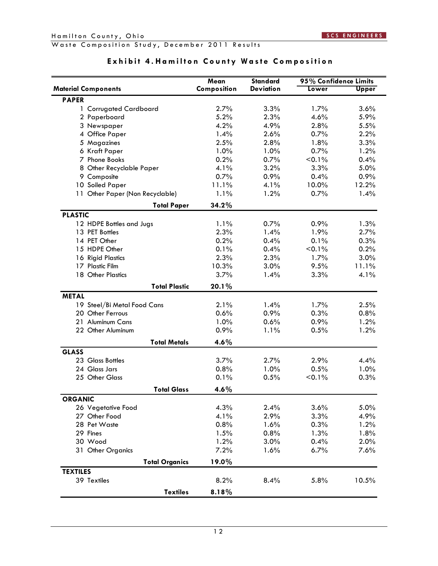|  | Waste Composition Study, December 2011 Results |  |  |  |  |
|--|------------------------------------------------|--|--|--|--|
|--|------------------------------------------------|--|--|--|--|

|                                   | Mean        | <b>Standard</b>  | 95% Confidence Limits |              |
|-----------------------------------|-------------|------------------|-----------------------|--------------|
| <b>Material Components</b>        | Composition | <b>Deviation</b> | Lower                 | <b>Upper</b> |
| <b>PAPER</b>                      |             |                  |                       |              |
| <b>Corrugated Cardboard</b><br>1. | 2.7%        | 3.3%             | 1.7%                  | 3.6%         |
| 2 Paperboard                      | 5.2%        | 2.3%             | 4.6%                  | 5.9%         |
| 3 Newspaper                       | 4.2%        | 4.9%             | 2.8%                  | 5.5%         |
| 4 Office Paper                    | 1.4%        | 2.6%             | 0.7%                  | 2.2%         |
| 5 Magazines                       | 2.5%        | 2.8%             | 1.8%                  | 3.3%         |
| 6 Kraft Paper                     | 1.0%        | 1.0%             | 0.7%                  | 1.2%         |
| 7 Phone Books                     | 0.2%        | 0.7%             | $< 0.1\%$             | 0.4%         |
| 8 Other Recyclable Paper          | 4.1%        | 3.2%             | 3.3%                  | 5.0%         |
| 9 Composite                       | 0.7%        | 0.9%             | 0.4%                  | 0.9%         |
| 10 Soiled Paper                   | 11.1%       | 4.1%             | 10.0%                 | 12.2%        |
| 11 Other Paper (Non Recyclable)   | 1.1%        | 1.2%             | 0.7%                  | 1.4%         |
| <b>Total Paper</b>                | 34.2%       |                  |                       |              |
| <b>PLASTIC</b>                    |             |                  |                       |              |
| 12 HDPE Bottles and Jugs          | 1.1%        | 0.7%             | 0.9%                  | 1.3%         |
| 13 PET Bottles                    | 2.3%        | 1.4%             | 1.9%                  | 2.7%         |
| 14 PET Other                      | 0.2%        | 0.4%             | 0.1%                  | 0.3%         |
| 15 HDPE Other                     | 0.1%        | 0.4%             | $< 0.1\%$             | 0.2%         |
| 16 Rigid Plastics                 | 2.3%        | 2.3%             | 1.7%                  | 3.0%         |
| 17 Plastic Film                   | 10.3%       | 3.0%             | 9.5%                  | 11.1%        |
| 18 Other Plastics                 | 3.7%        | 1.4%             | 3.3%                  | 4.1%         |
| <b>Total Plastic</b>              | 20.1%       |                  |                       |              |
| <b>METAL</b>                      |             |                  |                       |              |
| 19 Steel/Bi Metal Food Cans       | 2.1%        | 1.4%             | 1.7%                  | 2.5%         |
| 20 Other Ferrous                  | 0.6%        | 0.9%             | 0.3%                  | 0.8%         |
| 21 Aluminum Cans                  | 1.0%        | 0.6%             | 0.9%                  | 1.2%         |
| 22 Other Aluminum                 | 0.9%        | 1.1%             | 0.5%                  | 1.2%         |
| <b>Total Metals</b>               | 4.6%        |                  |                       |              |
| <b>GLASS</b>                      |             |                  |                       |              |
| 23 Glass Bottles                  | 3.7%        | 2.7%             | 2.9%                  | 4.4%         |
| 24 Glass Jars                     | 0.8%        | 1.0%             | 0.5%                  | 1.0%         |
| 25 Other Glass                    | 0.1%        | 0.5%             | < 0.1%                | 0.3%         |
| <b>Total Glass</b>                | $4.6\%$     |                  |                       |              |
| <b>ORGANIC</b>                    |             |                  |                       |              |
| 26 Vegetative Food                | 4.3%        | 2.4%             | 3.6%                  | 5.0%         |
| 27 Other Food                     | 4.1%        | 2.9%             | 3.3%                  | 4.9%         |
| 28 Pet Waste                      | 0.8%        | 1.6%             | 0.3%                  | 1.2%         |
| 29 Fines                          | 1.5%        | 0.8%             | 1.3%                  | 1.8%         |
| 30 Wood                           | 1.2%        | 3.0%             | 0.4%                  | 2.0%         |
| 31 Other Organics                 | 7.2%        | 1.6%             | 6.7%                  | 7.6%         |
| <b>Total Organics</b>             | 19.0%       |                  |                       |              |
| <b>TEXTILES</b>                   |             |                  |                       |              |
| 39 Textiles                       | 8.2%        | 8.4%             | 5.8%                  | 10.5%        |
| <b>Textiles</b>                   | 8.18%       |                  |                       |              |

## **Exhibit 4. Hamilton County Waste Composition**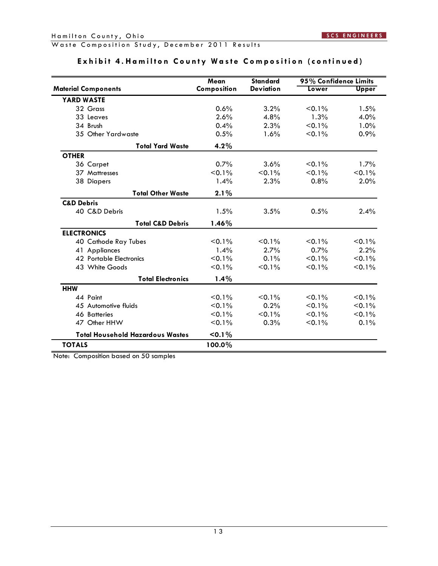## Waste Composition Study, December 2011 Results

|                                         | Mean        | <b>Standard</b>  | 95% Confidence Limits |              |
|-----------------------------------------|-------------|------------------|-----------------------|--------------|
| <b>Material Components</b>              | Composition | <b>Deviation</b> | Lower                 | <b>Upper</b> |
| <b>YARD WASTE</b>                       |             |                  |                       |              |
| 32 Grass                                | 0.6%        | 3.2%             | $< 0.1\%$             | 1.5%         |
| 33 Leaves                               | 2.6%        | 4.8%             | 1.3%                  | 4.0%         |
| 34 Brush                                | 0.4%        | 2.3%             | $< 0.1\%$             | 1.0%         |
| 35 Other Yardwaste                      | 0.5%        | 1.6%             | $< 0.1\%$             | 0.9%         |
| <b>Total Yard Waste</b>                 | 4.2%        |                  |                       |              |
| <b>OTHER</b>                            |             |                  |                       |              |
| 36 Carpet                               | 0.7%        | 3.6%             | $< 0.1\%$             | 1.7%         |
| 37 Mattresses                           | $< 0.1\%$   | $< 0.1\%$        | $< 0.1\%$             | $< 0.1\%$    |
| 38 Diapers                              | 1.4%        | 2.3%             | 0.8%                  | 2.0%         |
| <b>Total Other Waste</b>                | $2.1\%$     |                  |                       |              |
| <b>C&amp;D Debris</b>                   |             |                  |                       |              |
| 40 C&D Debris                           | 1.5%        | 3.5%             | 0.5%                  | 2.4%         |
| <b>Total C&amp;D Debris</b>             | 1.46%       |                  |                       |              |
| <b>ELECTRONICS</b>                      |             |                  |                       |              |
| 40 Cathode Ray Tubes                    | $< 0.1\%$   | $< 0.1\%$        | $< 0.1\%$             | $< 0.1\%$    |
| 41 Appliances                           | 1.4%        | 2.7%             | 0.7%                  | 2.2%         |
| 42 Portable Electronics                 | $< 0.1\%$   | 0.1%             | $< 0.1\%$             | $< 0.1\%$    |
| 43 White Goods                          | $< 0.1\%$   | $< 0.1\%$        | $< 0.1\%$             | $< 0.1\%$    |
| <b>Total Electronics</b>                | 1.4%        |                  |                       |              |
| <b>HHW</b>                              |             |                  |                       |              |
| 44 Paint                                | $< 0.1\%$   | $< 0.1\%$        | $< 0.1\%$             | $< 0.1\%$    |
| 45 Automotive fluids                    | $< 0.1\%$   | 0.2%             | $< 0.1\%$             | $< 0.1\%$    |
| 46 Batteries                            | $< 0.1\%$   | $< 0.1\%$        | $< 0.1\%$             | $< 0.1\%$    |
| 47 Other HHW                            | $< 0.1\%$   | 0.3%             | $< 0.1\%$             | $0.1\%$      |
| <b>Total Household Hazardous Wastes</b> | $<$ 0.1 $%$ |                  |                       |              |
| <b>TOTALS</b>                           | 100.0%      |                  |                       |              |

#### **Exhibit 4. Hamilton County Waste Composition (continued)**

Note: Composition based on 50 samples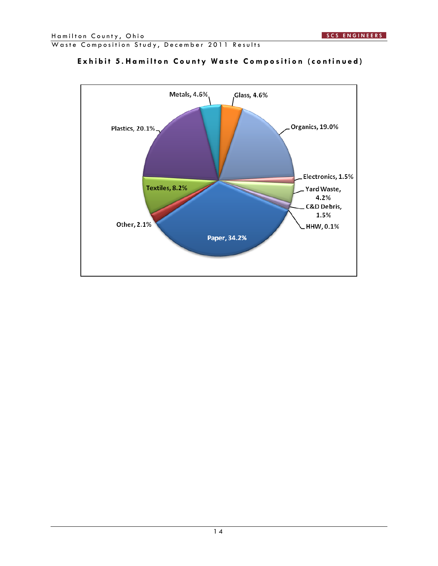



#### **Exhibit 5. Hamilton County Waste Composition (continued)**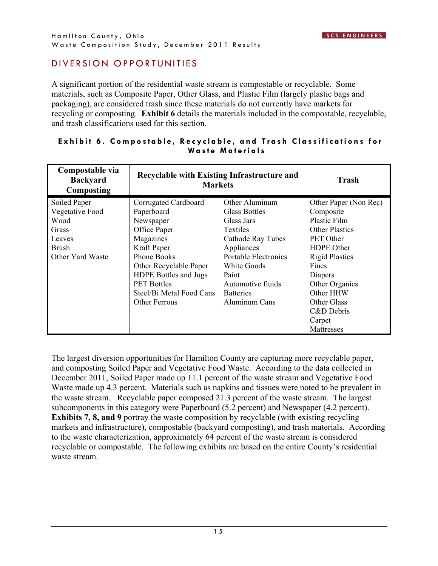## DIVERSION OPPORTUNITIES

A significant portion of the residential waste stream is compostable or recyclable. Some materials, such as Composite Paper, Other Glass, and Plastic Film (largely plastic bags and packaging), are considered trash since these materials do not currently have markets for recycling or composting. **Exhibit 6** details the materials included in the compostable, recyclable, and trash classifications used for this section.

| Compostable via<br><b>Backyard</b><br>Composting | <b>Recyclable with Existing Infrastructure and</b><br><b>Markets</b> | <b>Trash</b>         |                       |
|--------------------------------------------------|----------------------------------------------------------------------|----------------------|-----------------------|
| Soiled Paper                                     | Corrugated Cardboard                                                 | Other Aluminum       | Other Paper (Non Rec) |
| Vegetative Food                                  | Paperboard                                                           | <b>Glass Bottles</b> | Composite             |
| Wood                                             | Newspaper                                                            | Glass Jars           | <b>Plastic Film</b>   |
| Grass                                            | Office Paper                                                         | <b>Textiles</b>      | <b>Other Plastics</b> |
| Leaves                                           | Magazines                                                            | Cathode Ray Tubes    | <b>PET</b> Other      |
| <b>Brush</b>                                     | Kraft Paper                                                          | Appliances           | HDPE Other            |
| Other Yard Waste                                 | <b>Phone Books</b>                                                   | Portable Electronics | <b>Rigid Plastics</b> |
|                                                  | Other Recyclable Paper                                               | <b>White Goods</b>   | Fines                 |
|                                                  | <b>HDPE Bottles and Jugs</b>                                         | Paint                | Diapers               |
|                                                  | <b>PET Bottles</b>                                                   | Automotive fluids    | Other Organics        |
|                                                  | Steel/Bi Metal Food Cans                                             | <b>Batteries</b>     | Other HHW             |
|                                                  | <b>Other Ferrous</b>                                                 | Aluminum Cans        | Other Glass           |
|                                                  |                                                                      |                      | C&D Debris            |
|                                                  |                                                                      |                      | Carpet                |
|                                                  |                                                                      |                      | Mattresses            |

#### **Exhibit 6. Compostable, Recyclable, an d Trash Classifications for Waste Materials**

The largest diversion opportunities for Hamilton County are capturing more recyclable paper, and composting Soiled Paper and Vegetative Food Waste. According to the data collected in December 2011, Soiled Paper made up 11.1 percent of the waste stream and Vegetative Food Waste made up 4.3 percent. Materials such as napkins and tissues were noted to be prevalent in the waste stream. Recyclable paper composed 21.3 percent of the waste stream. The largest subcomponents in this category were Paperboard (5.2 percent) and Newspaper (4.2 percent). **Exhibits 7, 8, and 9** portray the waste composition by recyclable (with existing recycling markets and infrastructure), compostable (backyard composting), and trash materials. According to the waste characterization, approximately 64 percent of the waste stream is considered recyclable or compostable. The following exhibits are based on the entire County's residential waste stream.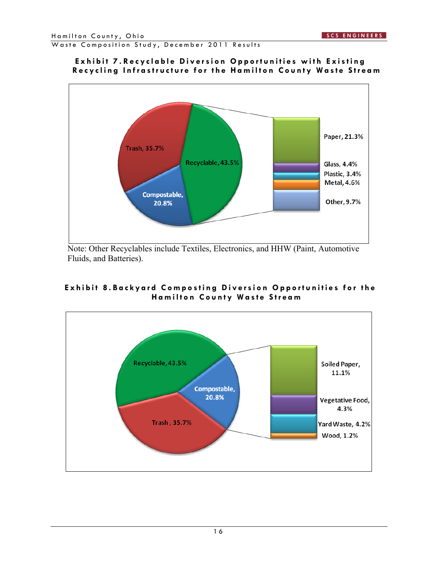Waste Composition Study, December 2011 Results



#### **Exhibit 7. Recyclable Diversion Opportunities with Existing Recycling Infrastructure for the Hamilton County Waste Stream**

Note: Other Recyclables include Textiles, Electronics, and HHW (Paint, Automotive Fluids, and Batteries).

#### **Exhibit 8. Backyard Composting Dive rsion Opportunities for the Hamilton County Waste Stream**

![](_page_17_Figure_7.jpeg)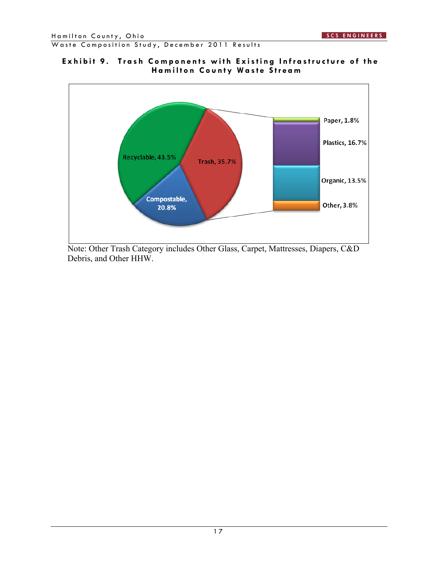Waste Composition Study, December 2011 Results

![](_page_18_Figure_3.jpeg)

![](_page_18_Figure_4.jpeg)

Note: Other Trash Category includes Other Glass, Carpet, Mattresses, Diapers, C&D Debris, and Other HHW.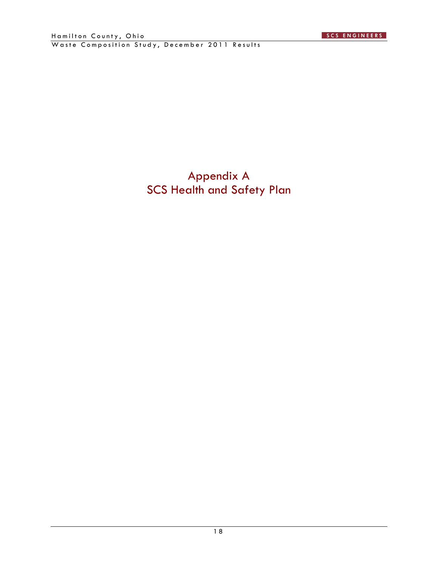Appendix A SCS Health and Safety Plan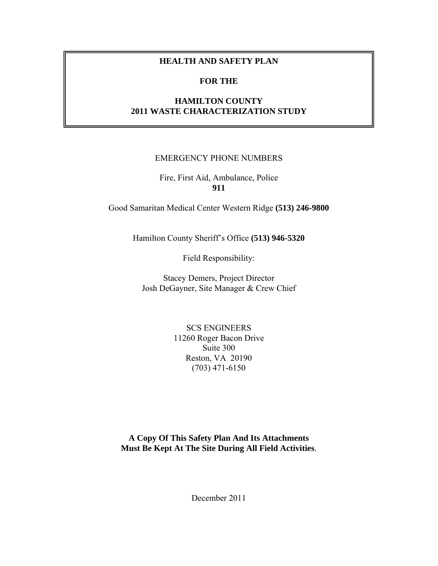#### **HEALTH AND SAFETY PLAN**

#### **FOR THE**

#### **HAMILTON COUNTY 2011 WASTE CHARACTERIZATION STUDY**

#### EMERGENCY PHONE NUMBERS

Fire, First Aid, Ambulance, Police **911** 

Good Samaritan Medical Center Western Ridge **(513) 246-9800** 

Hamilton County Sheriff's Office **(513) 946-5320**

Field Responsibility:

Stacey Demers, Project Director Josh DeGayner, Site Manager & Crew Chief

> SCS ENGINEERS 11260 Roger Bacon Drive Suite 300 Reston, VA 20190 (703) 471-6150

**A Copy Of This Safety Plan And Its Attachments Must Be Kept At The Site During All Field Activities**.

December 2011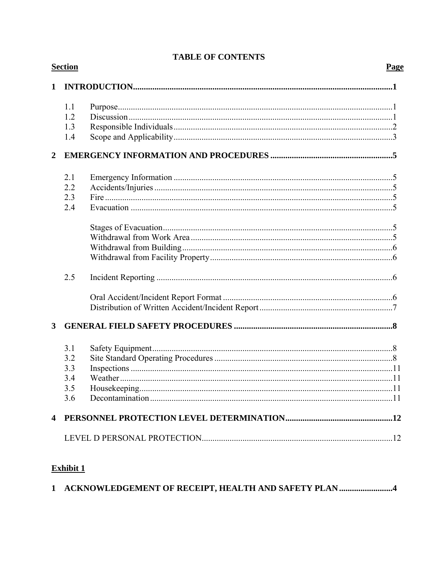|                         | <b>Section</b> |  | <b>Page</b> |
|-------------------------|----------------|--|-------------|
| $\mathbf{1}$            |                |  |             |
|                         | 1.1            |  |             |
|                         | 1.2            |  |             |
|                         | 1.3            |  |             |
|                         | 1.4            |  |             |
| $\mathbf{2}$            |                |  |             |
|                         | 2.1            |  |             |
|                         | 2.2            |  |             |
|                         | 2.3            |  |             |
|                         | 2.4            |  |             |
|                         |                |  |             |
|                         |                |  |             |
|                         |                |  |             |
|                         |                |  |             |
|                         | 2.5            |  |             |
|                         |                |  |             |
|                         |                |  |             |
| 3                       |                |  |             |
|                         | 3.1            |  |             |
|                         | 3.2            |  |             |
|                         | 3.3            |  |             |
|                         | 3.4            |  |             |
|                         | 3.5            |  |             |
|                         | 3.6            |  |             |
| $\overline{\mathbf{4}}$ |                |  |             |
|                         |                |  |             |
|                         |                |  |             |

## **TABLE OF CONTENTS**

## Exhibit 1

|  | 1 ACKNOWLEDGEMENT OF RECEIPT, HEALTH AND SAFETY PLAN4 |
|--|-------------------------------------------------------|
|--|-------------------------------------------------------|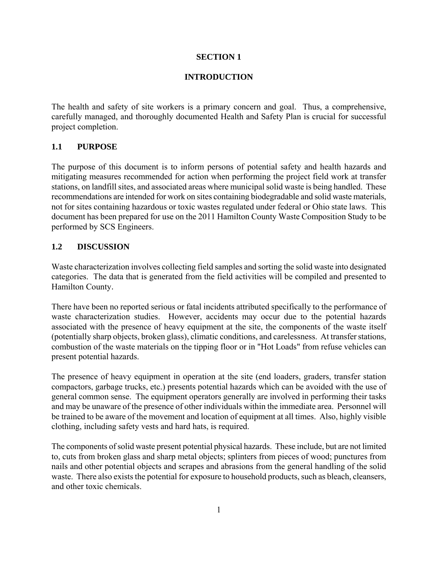#### **SECTION 1**

#### **INTRODUCTION**

The health and safety of site workers is a primary concern and goal. Thus, a comprehensive, carefully managed, and thoroughly documented Health and Safety Plan is crucial for successful project completion.

#### **1.1 PURPOSE**

The purpose of this document is to inform persons of potential safety and health hazards and mitigating measures recommended for action when performing the project field work at transfer stations, on landfill sites, and associated areas where municipal solid waste is being handled. These recommendations are intended for work on sites containing biodegradable and solid waste materials, not for sites containing hazardous or toxic wastes regulated under federal or Ohio state laws. This document has been prepared for use on the 2011 Hamilton County Waste Composition Study to be performed by SCS Engineers.

#### **1.2 DISCUSSION**

Waste characterization involves collecting field samples and sorting the solid waste into designated categories. The data that is generated from the field activities will be compiled and presented to Hamilton County.

There have been no reported serious or fatal incidents attributed specifically to the performance of waste characterization studies. However, accidents may occur due to the potential hazards associated with the presence of heavy equipment at the site, the components of the waste itself (potentially sharp objects, broken glass), climatic conditions, and carelessness. At transfer stations, combustion of the waste materials on the tipping floor or in "Hot Loads" from refuse vehicles can present potential hazards.

The presence of heavy equipment in operation at the site (end loaders, graders, transfer station compactors, garbage trucks, etc.) presents potential hazards which can be avoided with the use of general common sense. The equipment operators generally are involved in performing their tasks and may be unaware of the presence of other individuals within the immediate area. Personnel will be trained to be aware of the movement and location of equipment at all times. Also, highly visible clothing, including safety vests and hard hats, is required.

The components of solid waste present potential physical hazards. These include, but are not limited to, cuts from broken glass and sharp metal objects; splinters from pieces of wood; punctures from nails and other potential objects and scrapes and abrasions from the general handling of the solid waste. There also exists the potential for exposure to household products, such as bleach, cleansers, and other toxic chemicals.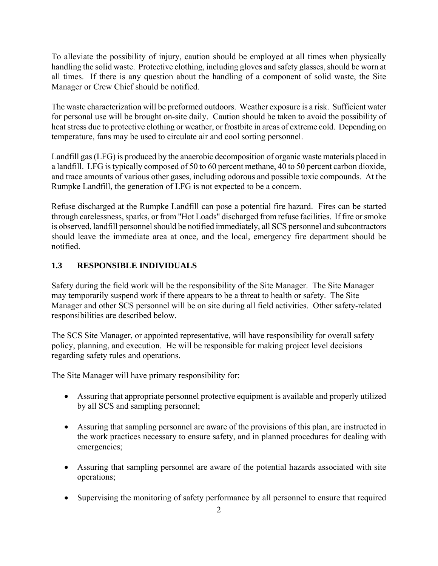To alleviate the possibility of injury, caution should be employed at all times when physically handling the solid waste. Protective clothing, including gloves and safety glasses, should be worn at all times. If there is any question about the handling of a component of solid waste, the Site Manager or Crew Chief should be notified.

The waste characterization will be preformed outdoors. Weather exposure is a risk. Sufficient water for personal use will be brought on-site daily. Caution should be taken to avoid the possibility of heat stress due to protective clothing or weather, or frostbite in areas of extreme cold. Depending on temperature, fans may be used to circulate air and cool sorting personnel.

Landfill gas (LFG) is produced by the anaerobic decomposition of organic waste materials placed in a landfill. LFG is typically composed of 50 to 60 percent methane, 40 to 50 percent carbon dioxide, and trace amounts of various other gases, including odorous and possible toxic compounds. At the Rumpke Landfill, the generation of LFG is not expected to be a concern.

Refuse discharged at the Rumpke Landfill can pose a potential fire hazard. Fires can be started through carelessness, sparks, or from "Hot Loads" discharged from refuse facilities. If fire or smoke is observed, landfill personnel should be notified immediately, all SCS personnel and subcontractors should leave the immediate area at once, and the local, emergency fire department should be notified.

#### **1.3 RESPONSIBLE INDIVIDUALS**

Safety during the field work will be the responsibility of the Site Manager. The Site Manager may temporarily suspend work if there appears to be a threat to health or safety. The Site Manager and other SCS personnel will be on site during all field activities. Other safety-related responsibilities are described below.

The SCS Site Manager, or appointed representative, will have responsibility for overall safety policy, planning, and execution. He will be responsible for making project level decisions regarding safety rules and operations.

The Site Manager will have primary responsibility for:

- Assuring that appropriate personnel protective equipment is available and properly utilized by all SCS and sampling personnel;
- Assuring that sampling personnel are aware of the provisions of this plan, are instructed in the work practices necessary to ensure safety, and in planned procedures for dealing with emergencies;
- Assuring that sampling personnel are aware of the potential hazards associated with site operations;
- Supervising the monitoring of safety performance by all personnel to ensure that required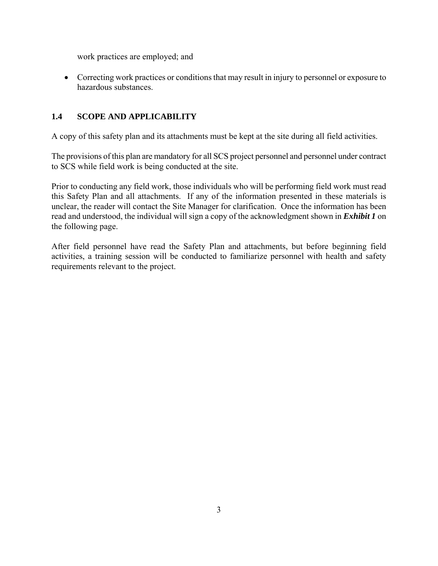work practices are employed; and

• Correcting work practices or conditions that may result in injury to personnel or exposure to hazardous substances.

#### **1.4 SCOPE AND APPLICABILITY**

A copy of this safety plan and its attachments must be kept at the site during all field activities.

The provisions of this plan are mandatory for all SCS project personnel and personnel under contract to SCS while field work is being conducted at the site.

Prior to conducting any field work, those individuals who will be performing field work must read this Safety Plan and all attachments. If any of the information presented in these materials is unclear, the reader will contact the Site Manager for clarification. Once the information has been read and understood, the individual will sign a copy of the acknowledgment shown in *Exhibit 1* on the following page.

After field personnel have read the Safety Plan and attachments, but before beginning field activities, a training session will be conducted to familiarize personnel with health and safety requirements relevant to the project.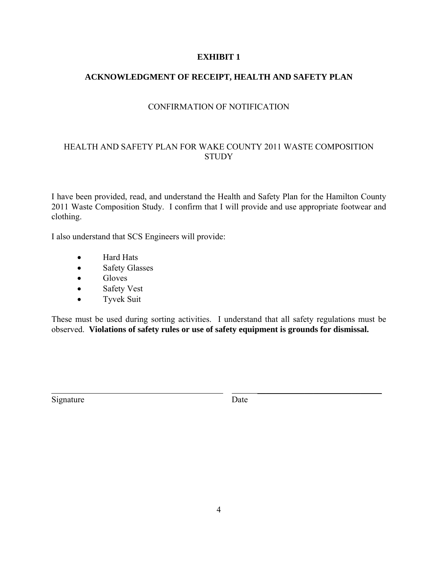#### **EXHIBIT 1**

#### **ACKNOWLEDGMENT OF RECEIPT, HEALTH AND SAFETY PLAN**

#### CONFIRMATION OF NOTIFICATION

#### HEALTH AND SAFETY PLAN FOR WAKE COUNTY 2011 WASTE COMPOSITION STUDY

I have been provided, read, and understand the Health and Safety Plan for the Hamilton County 2011 Waste Composition Study. I confirm that I will provide and use appropriate footwear and clothing.

I also understand that SCS Engineers will provide:

- Hard Hats
- Safety Glasses
- Gloves
- Safety Vest
- Tyvek Suit

These must be used during sorting activities. I understand that all safety regulations must be observed. **Violations of safety rules or use of safety equipment is grounds for dismissal.**

\_\_\_\_\_\_\_\_\_\_\_\_\_\_\_\_\_\_\_\_\_\_\_\_\_\_\_\_\_

Signature Date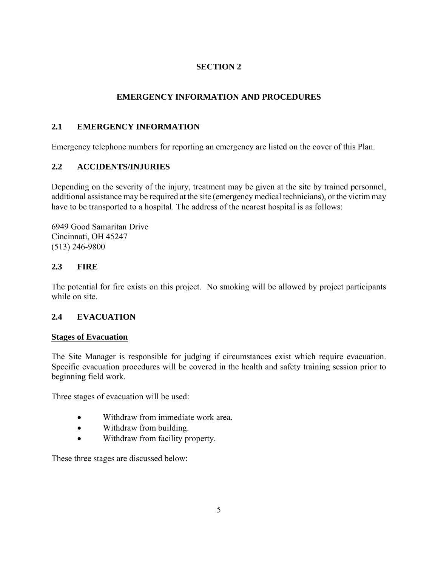### **SECTION 2**

#### **EMERGENCY INFORMATION AND PROCEDURES**

#### **2.1 EMERGENCY INFORMATION**

Emergency telephone numbers for reporting an emergency are listed on the cover of this Plan.

#### **2.2 ACCIDENTS/INJURIES**

Depending on the severity of the injury, treatment may be given at the site by trained personnel, additional assistance may be required at the site (emergency medical technicians), or the victim may have to be transported to a hospital. The address of the nearest hospital is as follows:

6949 Good Samaritan Drive Cincinnati, OH 45247 (513) 246-9800

#### **2.3 FIRE**

The potential for fire exists on this project. No smoking will be allowed by project participants while on site.

#### **2.4 EVACUATION**

#### **Stages of Evacuation**

The Site Manager is responsible for judging if circumstances exist which require evacuation. Specific evacuation procedures will be covered in the health and safety training session prior to beginning field work.

Three stages of evacuation will be used:

- Withdraw from immediate work area.
- Withdraw from building.
- Withdraw from facility property.

These three stages are discussed below: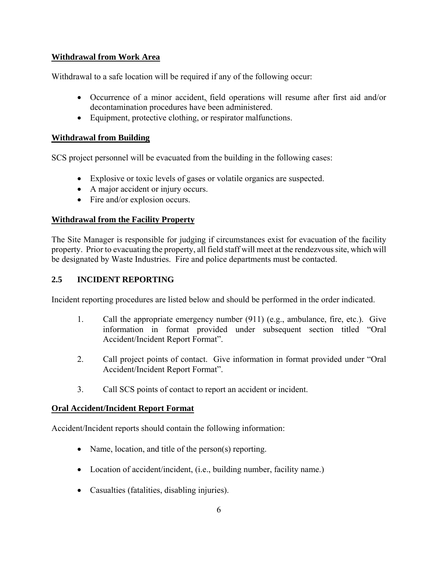#### **Withdrawal from Work Area**

Withdrawal to a safe location will be required if any of the following occur:

- Occurrence of a minor accident, field operations will resume after first aid and/or decontamination procedures have been administered.
- Equipment, protective clothing, or respirator malfunctions.

#### **Withdrawal from Building**

SCS project personnel will be evacuated from the building in the following cases:

- Explosive or toxic levels of gases or volatile organics are suspected.
- A major accident or injury occurs.
- Fire and/or explosion occurs.

#### **Withdrawal from the Facility Property**

The Site Manager is responsible for judging if circumstances exist for evacuation of the facility property. Prior to evacuating the property, all field staff will meet at the rendezvous site, which will be designated by Waste Industries. Fire and police departments must be contacted.

#### **2.5 INCIDENT REPORTING**

Incident reporting procedures are listed below and should be performed in the order indicated.

- 1. Call the appropriate emergency number (911) (e.g., ambulance, fire, etc.). Give information in format provided under subsequent section titled "Oral Accident/Incident Report Format".
- 2. Call project points of contact. Give information in format provided under "Oral Accident/Incident Report Format".
- 3. Call SCS points of contact to report an accident or incident.

#### **Oral Accident/Incident Report Format**

Accident/Incident reports should contain the following information:

- Name, location, and title of the person(s) reporting.
- Location of accident/incident, (i.e., building number, facility name.)
- Casualties (fatalities, disabling injuries).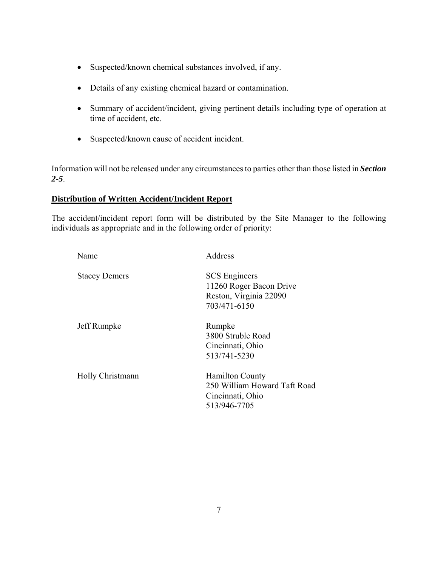- Suspected/known chemical substances involved, if any.
- Details of any existing chemical hazard or contamination.
- Summary of accident/incident, giving pertinent details including type of operation at time of accident, etc.
- Suspected/known cause of accident incident.

Information will not be released under any circumstances to parties other than those listed in *Section 2-5*.

#### **Distribution of Written Accident/Incident Report**

The accident/incident report form will be distributed by the Site Manager to the following individuals as appropriate and in the following order of priority:

| Name                 | Address                                                                                    |
|----------------------|--------------------------------------------------------------------------------------------|
| <b>Stacey Demers</b> | <b>SCS</b> Engineers<br>11260 Roger Bacon Drive<br>Reston, Virginia 22090<br>703/471-6150  |
| Jeff Rumpke          | Rumpke<br>3800 Struble Road<br>Cincinnati, Ohio<br>513/741-5230                            |
| Holly Christmann     | <b>Hamilton County</b><br>250 William Howard Taft Road<br>Cincinnati, Ohio<br>513/946-7705 |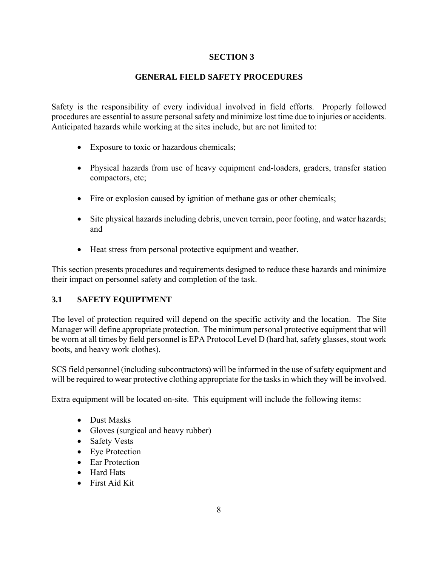#### **SECTION 3**

#### **GENERAL FIELD SAFETY PROCEDURES**

Safety is the responsibility of every individual involved in field efforts. Properly followed procedures are essential to assure personal safety and minimize lost time due to injuries or accidents. Anticipated hazards while working at the sites include, but are not limited to:

- Exposure to toxic or hazardous chemicals;
- Physical hazards from use of heavy equipment end-loaders, graders, transfer station compactors, etc;
- Fire or explosion caused by ignition of methane gas or other chemicals;
- Site physical hazards including debris, uneven terrain, poor footing, and water hazards; and
- Heat stress from personal protective equipment and weather.

This section presents procedures and requirements designed to reduce these hazards and minimize their impact on personnel safety and completion of the task.

#### **3.1 SAFETY EQUIPTMENT**

The level of protection required will depend on the specific activity and the location. The Site Manager will define appropriate protection. The minimum personal protective equipment that will be worn at all times by field personnel is EPA Protocol Level D (hard hat, safety glasses, stout work boots, and heavy work clothes).

SCS field personnel (including subcontractors) will be informed in the use of safety equipment and will be required to wear protective clothing appropriate for the tasks in which they will be involved.

Extra equipment will be located on-site. This equipment will include the following items:

- Dust Masks
- Gloves (surgical and heavy rubber)
- Safety Vests
- Eye Protection
- Ear Protection
- Hard Hats
- First Aid Kit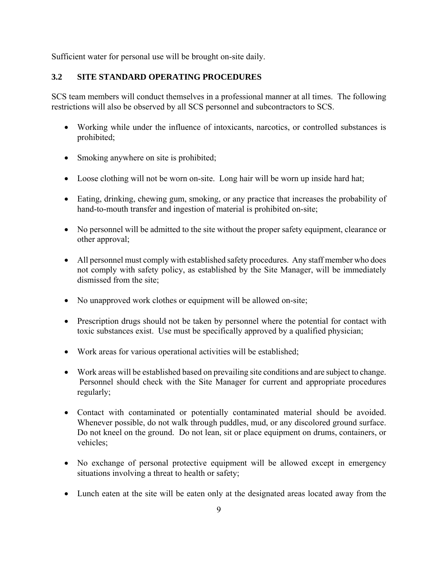Sufficient water for personal use will be brought on-site daily.

#### **3.2 SITE STANDARD OPERATING PROCEDURES**

SCS team members will conduct themselves in a professional manner at all times. The following restrictions will also be observed by all SCS personnel and subcontractors to SCS.

- Working while under the influence of intoxicants, narcotics, or controlled substances is prohibited;
- Smoking anywhere on site is prohibited;
- Loose clothing will not be worn on-site. Long hair will be worn up inside hard hat;
- Eating, drinking, chewing gum, smoking, or any practice that increases the probability of hand-to-mouth transfer and ingestion of material is prohibited on-site;
- No personnel will be admitted to the site without the proper safety equipment, clearance or other approval;
- All personnel must comply with established safety procedures. Any staff member who does not comply with safety policy, as established by the Site Manager, will be immediately dismissed from the site;
- No unapproved work clothes or equipment will be allowed on-site;
- Prescription drugs should not be taken by personnel where the potential for contact with toxic substances exist. Use must be specifically approved by a qualified physician;
- Work areas for various operational activities will be established;
- Work areas will be established based on prevailing site conditions and are subject to change. Personnel should check with the Site Manager for current and appropriate procedures regularly;
- Contact with contaminated or potentially contaminated material should be avoided. Whenever possible, do not walk through puddles, mud, or any discolored ground surface. Do not kneel on the ground. Do not lean, sit or place equipment on drums, containers, or vehicles;
- No exchange of personal protective equipment will be allowed except in emergency situations involving a threat to health or safety;
- Lunch eaten at the site will be eaten only at the designated areas located away from the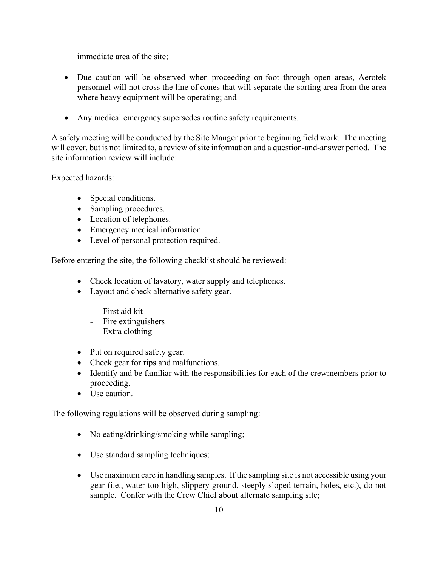immediate area of the site;

- Due caution will be observed when proceeding on-foot through open areas, Aerotek personnel will not cross the line of cones that will separate the sorting area from the area where heavy equipment will be operating; and
- Any medical emergency supersedes routine safety requirements.

A safety meeting will be conducted by the Site Manger prior to beginning field work. The meeting will cover, but is not limited to, a review of site information and a question-and-answer period. The site information review will include:

Expected hazards:

- Special conditions.
- Sampling procedures.
- Location of telephones.
- Emergency medical information.
- Level of personal protection required.

Before entering the site, the following checklist should be reviewed:

- Check location of lavatory, water supply and telephones.
- Layout and check alternative safety gear.
	- First aid kit
	- Fire extinguishers
	- Extra clothing
- Put on required safety gear.
- Check gear for rips and malfunctions.
- Identify and be familiar with the responsibilities for each of the crewmembers prior to proceeding.
- Use caution.

The following regulations will be observed during sampling:

- No eating/drinking/smoking while sampling;
- Use standard sampling techniques;
- Use maximum care in handling samples. If the sampling site is not accessible using your gear (i.e., water too high, slippery ground, steeply sloped terrain, holes, etc.), do not sample. Confer with the Crew Chief about alternate sampling site;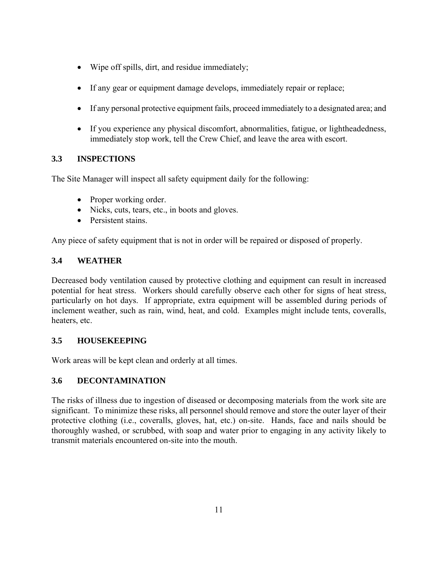- Wipe off spills, dirt, and residue immediately;
- If any gear or equipment damage develops, immediately repair or replace;
- If any personal protective equipment fails, proceed immediately to a designated area; and
- If you experience any physical discomfort, abnormalities, fatigue, or lightheadedness, immediately stop work, tell the Crew Chief, and leave the area with escort.

#### **3.3 INSPECTIONS**

The Site Manager will inspect all safety equipment daily for the following:

- Proper working order.
- Nicks, cuts, tears, etc., in boots and gloves.
- Persistent stains.

Any piece of safety equipment that is not in order will be repaired or disposed of properly.

#### **3.4 WEATHER**

Decreased body ventilation caused by protective clothing and equipment can result in increased potential for heat stress. Workers should carefully observe each other for signs of heat stress, particularly on hot days. If appropriate, extra equipment will be assembled during periods of inclement weather, such as rain, wind, heat, and cold. Examples might include tents, coveralls, heaters, etc.

#### **3.5 HOUSEKEEPING**

Work areas will be kept clean and orderly at all times.

#### **3.6 DECONTAMINATION**

The risks of illness due to ingestion of diseased or decomposing materials from the work site are significant. To minimize these risks, all personnel should remove and store the outer layer of their protective clothing (i.e., coveralls, gloves, hat, etc.) on-site. Hands, face and nails should be thoroughly washed, or scrubbed, with soap and water prior to engaging in any activity likely to transmit materials encountered on-site into the mouth.